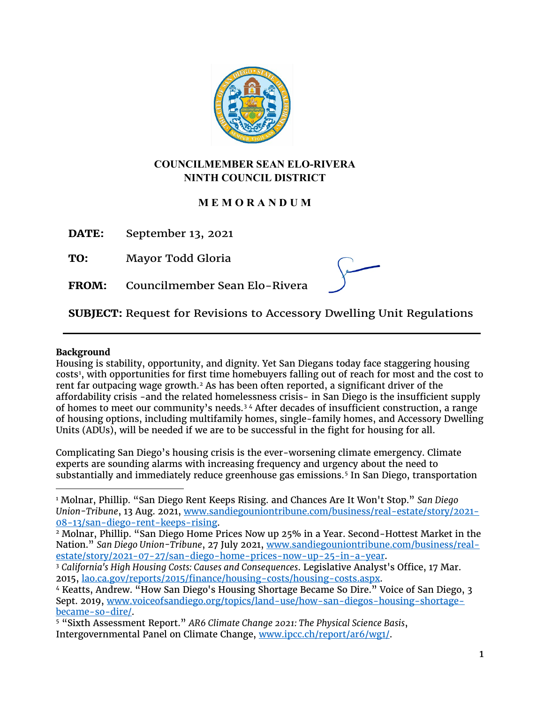

# **COUNCILMEMBER SEAN ELO-RIVERA NINTH COUNCIL DISTRICT**

# **M E M O R A N D U M**

**DATE:** September 13, 2021

**TO:** Mayor Todd Gloria

**FROM:** Councilmember Sean Elo-Rivera

**SUBJECT:** Request for Revisions to Accessory Dwelling Unit Regulations

# **Background**

Housing is stability, opportunity, and dignity. Yet San Diegans today face staggering housing costs[1](#page-0-0) , with opportunities for first time homebuyers falling out of reach for most and the cost to rent far outpacing wage growth.<sup>[2](#page-0-1)</sup> As has been often reported, a significant driver of the affordability crisis -and the related homelessness crisis- in San Diego is the insufficient supply of homes to meet our community's needs.[3](#page-0-2) [4](#page-0-3) After decades of insufficient construction, a range of housing options, including multifamily homes, single-family homes, and Accessory Dwelling Units (ADUs), will be needed if we are to be successful in the fight for housing for all.

Complicating San Diego's housing crisis is the ever-worsening climate emergency. Climate experts are sounding alarms with increasing frequency and urgency about the need to substantially and immediately reduce greenhouse gas emissions.[5](#page-0-4) In San Diego, transportation

<span id="page-0-0"></span><sup>1</sup> Molnar, Phillip. "San Diego Rent Keeps Rising. and Chances Are It Won't Stop." *San Diego Union-Tribune*, 13 Aug. 2021, [www.sandiegouniontribune.com/business/real-estate/story/2021-](http://www.sandiegouniontribune.com/business/real-estate/story/2021-08-13/san-diego-rent-keeps-rising) <u>08-13/san-diego-rent-keeps-rising</u>.<br><sup>2</sup> Molnar, Phillip. "San Diego Home Prices Now up 25% in a Year. Second-Hottest Market in the

<span id="page-0-1"></span>Nation." *San Diego Union-Tribune*, 27 July 2021, www.sandiegouniontribune.com/business/real-<br>estate/story/2021-07-27/san-diego-home-prices-now-up-25-in-a-year.

<span id="page-0-2"></span><sup>&</sup>lt;sup>3</sup> California's High Housing Costs: Causes and Consequences. Legislative Analyst's Office, 17 Mar. 2015, <u>lao.ca.gov/reports/2015/finance/housing-costs/housing-costs.aspx</u>.<br><sup>4</sup> Keatts, Andrew. "How San Diego's Housing Shortage Became So Dire." Voice of San Diego, 3

<span id="page-0-3"></span>Sept. 2019, [www.voiceofsandiego.org/topics/land-use/how-san-diegos-housing-shortage](http://www.voiceofsandiego.org/topics/land-use/how-san-diegos-housing-shortage-became-so-dire/)[became-so-dire/.](http://www.voiceofsandiego.org/topics/land-use/how-san-diegos-housing-shortage-became-so-dire/)

<span id="page-0-4"></span><sup>5</sup> "Sixth Assessment Report." *AR6 Climate Change 2021: The Physical Science Basis*, Intergovernmental Panel on Climate Change, [www.ipcc.ch/report/ar6/wg1/.](http://www.ipcc.ch/report/ar6/wg1/)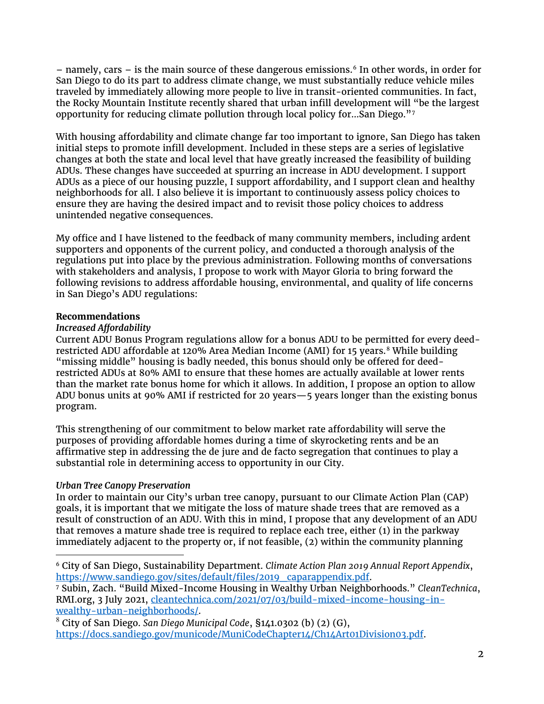$-$  namely, cars  $-$  is the main source of these dangerous emissions.<sup>[6](#page-1-0)</sup> In other words, in order for San Diego to do its part to address climate change, we must substantially reduce vehicle miles traveled by immediately allowing more people to live in transit-oriented communities. In fact, the Rocky Mountain Institute recently shared that urban infill development will "be the largest opportunity for reducing climate pollution through local policy for...San Diego."[7](#page-1-1)

With housing affordability and climate change far too important to ignore, San Diego has taken initial steps to promote infill development. Included in these steps are a series of legislative changes at both the state and local level that have greatly increased the feasibility of building ADUs. These changes have succeeded at spurring an increase in ADU development. I support ADUs as a piece of our housing puzzle, I support affordability, and I support clean and healthy neighborhoods for all. I also believe it is important to continuously assess policy choices to ensure they are having the desired impact and to revisit those policy choices to address unintended negative consequences.

My office and I have listened to the feedback of many community members, including ardent supporters and opponents of the current policy, and conducted a thorough analysis of the regulations put into place by the previous administration. Following months of conversations with stakeholders and analysis, I propose to work with Mayor Gloria to bring forward the following revisions to address affordable housing, environmental, and quality of life concerns in San Diego's ADU regulations:

# **Recommendations**

# *Increased Affordability*

Current ADU Bonus Program regulations allow for a bonus ADU to be permitted for every deed-restricted ADU affordable at 120% Area Median Income (AMI) for 15 years.<sup>[8](#page-1-2)</sup> While building "missing middle" housing is badly needed, this bonus should only be offered for deedrestricted ADUs at 80% AMI to ensure that these homes are actually available at lower rents than the market rate bonus home for which it allows. In addition, I propose an option to allow ADU bonus units at 90% AMI if restricted for 20 years—5 years longer than the existing bonus program.

This strengthening of our commitment to below market rate affordability will serve the purposes of providing affordable homes during a time of skyrocketing rents and be an affirmative step in addressing the de jure and de facto segregation that continues to play a substantial role in determining access to opportunity in our City.

# *Urban Tree Canopy Preservation*

In order to maintain our City's urban tree canopy, pursuant to our Climate Action Plan (CAP) goals, it is important that we mitigate the loss of mature shade trees that are removed as a result of construction of an ADU. With this in mind, I propose that any development of an ADU that removes a mature shade tree is required to replace each tree, either (1) in the parkway immediately adjacent to the property or, if not feasible, (2) within the community planning

<span id="page-1-0"></span><sup>6</sup> City of San Diego, Sustainability Department. *Climate Action Plan 2019 Annual Report Appendix*, [https://www.sandiego.gov/sites/default/files/2019\\_caparappendix.pdf.](https://www.sandiego.gov/sites/default/files/2019_caparappendix.pdf) 7 Subin, Zach. "Build Mixed-Income Housing in Wealthy Urban Neighborhoods." *CleanTechnica*,

<span id="page-1-1"></span>RMI.org, 3 July 2021, [cleantechnica.com/2021/07/03/build-mixed-income-housing-in](https://cityofsandiego.sharepoint.com/teams/CD9-SeanEloRiveraTeam/Shared%20Documents/Policy%20and%20Research/ADU%20Policies%20and%20Memos/cleantechnica.com/2021/07/03/build-mixed-income-housing-in-wealthy-urban-neighborhoods)[wealthy-urban-neighborhoods/.](https://cityofsandiego.sharepoint.com/teams/CD9-SeanEloRiveraTeam/Shared%20Documents/Policy%20and%20Research/ADU%20Policies%20and%20Memos/cleantechnica.com/2021/07/03/build-mixed-income-housing-in-wealthy-urban-neighborhoods)

<span id="page-1-2"></span><sup>8</sup> City of San Diego. *San Diego Municipal Code*, §141.0302 (b) (2) (G), [https://docs.sandiego.gov/municode/MuniCodeChapter14/Ch14Art01Division03.pdf.](https://docs.sandiego.gov/municode/MuniCodeChapter14/Ch14Art01Division03.pdf)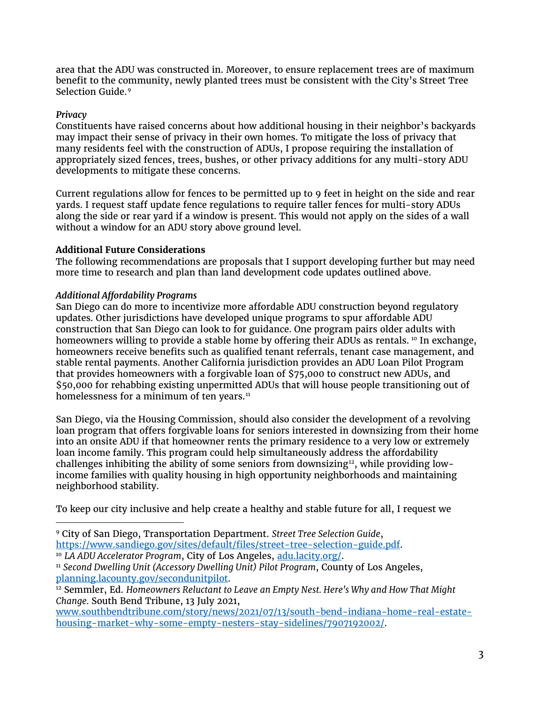area that the ADU was constructed in. Moreover, to ensure replacement trees are of maximum benefit to the community, newly planted trees must be consistent with the City's Street Tree Selection Guide.[9](#page-2-0)

### *Privacy*

Constituents have raised concerns about how additional housing in their neighbor's backyards may impact their sense of privacy in their own homes. To mitigate the loss of privacy that many residents feel with the construction of ADUs, I propose requiring the installation of appropriately sized fences, trees, bushes, or other privacy additions for any multi-story ADU developments to mitigate these concerns.

Current regulations allow for fences to be permitted up to 9 feet in height on the side and rear yards. I request staff update fence regulations to require taller fences for multi-story ADUs along the side or rear yard if a window is present. This would not apply on the sides of a wall without a window for an ADU story above ground level.

# **Additional Future Considerations**

The following recommendations are proposals that I support developing further but may need more time to research and plan than land development code updates outlined above.

# *Additional Affordability Programs*

San Diego can do more to incentivize more affordable ADU construction beyond regulatory updates. Other jurisdictions have developed unique programs to spur affordable ADU construction that San Diego can look to for guidance. One program pairs older adults with homeowners willing to provide a stable home by offering their ADUs as rentals.<sup>[10](#page-2-1)</sup> In exchange, homeowners receive benefits such as qualified tenant referrals, tenant case management, and stable rental payments. Another California jurisdiction provides an ADU Loan Pilot Program that provides homeowners with a forgivable loan of \$75,000 to construct new ADUs, and \$50,000 for rehabbing existing unpermitted ADUs that will house people transitioning out of homelessness for a minimum of ten years.<sup>[11](#page-2-2)</sup>

San Diego, via the Housing Commission, should also consider the development of a revolving loan program that offers forgivable loans for seniors interested in downsizing from their home into an onsite ADU if that homeowner rents the primary residence to a very low or extremely loan income family. This program could help simultaneously address the affordability challenges inhibiting the ability of some seniors from downsizing $12$ , while providing lowincome families with quality housing in high opportunity neighborhoods and maintaining neighborhood stability.

To keep our city inclusive and help create a healthy and stable future for all, I request we

[www.southbendtribune.com/story/news/2021/07/13/south-bend-indiana-home-real-estate](http://www.southbendtribune.com/story/news/2021/07/13/south-bend-indiana-home-real-estate-housing-market-why-some-empty-nesters-stay-sidelines/7907192002/)[housing-market-why-some-empty-nesters-stay-sidelines/7907192002/.](http://www.southbendtribune.com/story/news/2021/07/13/south-bend-indiana-home-real-estate-housing-market-why-some-empty-nesters-stay-sidelines/7907192002/)

<span id="page-2-0"></span><sup>9</sup> City of San Diego, Transportation Department. *Street Tree Selection Guide*, [https://www.sandiego.gov/sites/default/files/street-tree-selection-guide.pdf.](https://www.sandiego.gov/sites/default/files/street-tree-selection-guide.pdf)

<span id="page-2-1"></span><sup>10</sup> *LA ADU Accelerator Program*, City of Los Angeles, [adu.lacity.org/.](https://cityofsandiego.sharepoint.com/teams/CD9-SeanEloRiveraTeam/Shared%20Documents/Policy%20and%20Research/ADU%20Policies%20and%20Memos/adu.lacity.org/)

<span id="page-2-2"></span><sup>11</sup> *Second Dwelling Unit (Accessory Dwelling Unit) Pilot Program*, County of Los Angeles, [planning.lacounty.gov/secondunitpilot.](https://cityofsandiego.sharepoint.com/teams/CD9-SeanEloRiveraTeam/Shared%20Documents/Policy%20and%20Research/ADU%20Policies%20and%20Memos/planning.lacounty.gov/secondunitpilot)<br><sup>12</sup> Semmler, Ed. *Homeowners Reluctant to Leave an Empty Nest. Here's Why and How That Might* 

<span id="page-2-3"></span>*Change.* South Bend Tribune, 13 July 2021,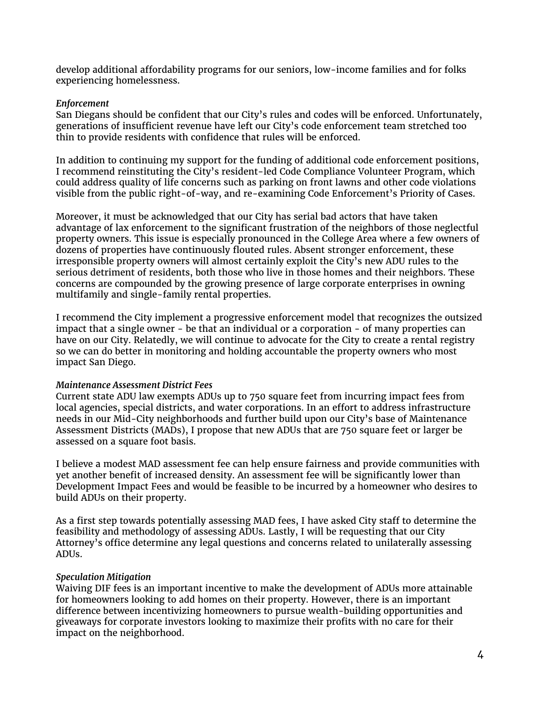develop additional affordability programs for our seniors, low-income families and for folks experiencing homelessness.

#### *Enforcement*

San Diegans should be confident that our City's rules and codes will be enforced. Unfortunately, generations of insufficient revenue have left our City's code enforcement team stretched too thin to provide residents with confidence that rules will be enforced.

In addition to continuing my support for the funding of additional code enforcement positions, I recommend reinstituting the City's resident-led Code Compliance Volunteer Program, which could address quality of life concerns such as parking on front lawns and other code violations visible from the public right-of-way, and re-examining Code Enforcement's Priority of Cases.

Moreover, it must be acknowledged that our City has serial bad actors that have taken advantage of lax enforcement to the significant frustration of the neighbors of those neglectful property owners. This issue is especially pronounced in the College Area where a few owners of dozens of properties have continuously flouted rules. Absent stronger enforcement, these irresponsible property owners will almost certainly exploit the City's new ADU rules to the serious detriment of residents, both those who live in those homes and their neighbors. These concerns are compounded by the growing presence of large corporate enterprises in owning multifamily and single-family rental properties.

I recommend the City implement a progressive enforcement model that recognizes the outsized impact that a single owner - be that an individual or a corporation - of many properties can have on our City. Relatedly, we will continue to advocate for the City to create a rental registry so we can do better in monitoring and holding accountable the property owners who most impact San Diego.

#### *Maintenance Assessment District Fees*

Current state ADU law exempts ADUs up to 750 square feet from incurring impact fees from local agencies, special districts, and water corporations. In an effort to address infrastructure needs in our Mid-City neighborhoods and further build upon our City's base of Maintenance Assessment Districts (MADs), I propose that new ADUs that are 750 square feet or larger be assessed on a square foot basis.

I believe a modest MAD assessment fee can help ensure fairness and provide communities with yet another benefit of increased density. An assessment fee will be significantly lower than Development Impact Fees and would be feasible to be incurred by a homeowner who desires to build ADUs on their property.

As a first step towards potentially assessing MAD fees, I have asked City staff to determine the feasibility and methodology of assessing ADUs. Lastly, I will be requesting that our City Attorney's office determine any legal questions and concerns related to unilaterally assessing ADUs.

#### *Speculation Mitigation*

Waiving DIF fees is an important incentive to make the development of ADUs more attainable for homeowners looking to add homes on their property. However, there is an important difference between incentivizing homeowners to pursue wealth-building opportunities and giveaways for corporate investors looking to maximize their profits with no care for their impact on the neighborhood.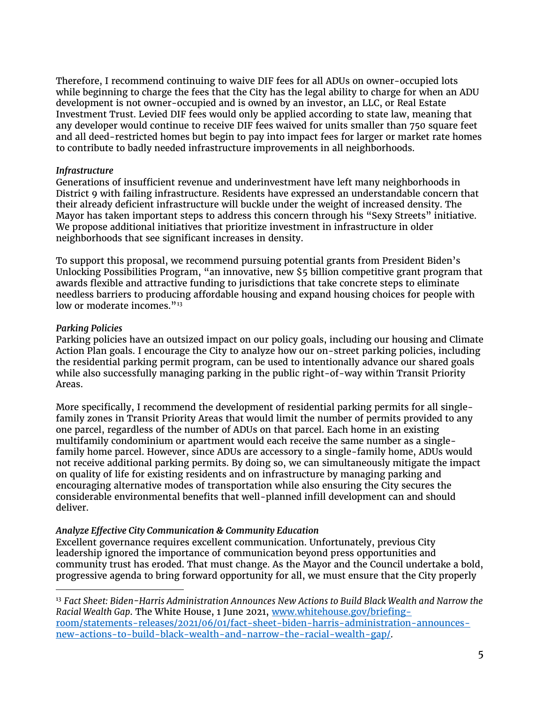Therefore, I recommend continuing to waive DIF fees for all ADUs on owner-occupied lots while beginning to charge the fees that the City has the legal ability to charge for when an ADU development is not owner-occupied and is owned by an investor, an LLC, or Real Estate Investment Trust. Levied DIF fees would only be applied according to state law, meaning that any developer would continue to receive DIF fees waived for units smaller than 750 square feet and all deed-restricted homes but begin to pay into impact fees for larger or market rate homes to contribute to badly needed infrastructure improvements in all neighborhoods.

#### *Infrastructure*

Generations of insufficient revenue and underinvestment have left many neighborhoods in District 9 with failing infrastructure. Residents have expressed an understandable concern that their already deficient infrastructure will buckle under the weight of increased density. The Mayor has taken important steps to address this concern through his "Sexy Streets" initiative. We propose additional initiatives that prioritize investment in infrastructure in older neighborhoods that see significant increases in density.

To support this proposal, we recommend pursuing potential grants from President Biden's Unlocking Possibilities Program, "an innovative, new \$5 billion competitive grant program that awards flexible and attractive funding to jurisdictions that take concrete steps to eliminate needless barriers to producing affordable housing and expand housing choices for people with low or moderate incomes."<sup>[13](#page-4-0)</sup>

#### *Parking Policies*

Parking policies have an outsized impact on our policy goals, including our housing and Climate Action Plan goals. I encourage the City to analyze how our on-street parking policies, including the residential parking permit program, can be used to intentionally advance our shared goals while also successfully managing parking in the public right-of-way within Transit Priority Areas.

More specifically, I recommend the development of residential parking permits for all singlefamily zones in Transit Priority Areas that would limit the number of permits provided to any one parcel, regardless of the number of ADUs on that parcel. Each home in an existing multifamily condominium or apartment would each receive the same number as a singlefamily home parcel. However, since ADUs are accessory to a single-family home, ADUs would not receive additional parking permits. By doing so, we can simultaneously mitigate the impact on quality of life for existing residents and on infrastructure by managing parking and encouraging alternative modes of transportation while also ensuring the City secures the considerable environmental benefits that well-planned infill development can and should deliver.

#### *Analyze Effective City Communication & Community Education*

Excellent governance requires excellent communication. Unfortunately, previous City leadership ignored the importance of communication beyond press opportunities and community trust has eroded. That must change. As the Mayor and the Council undertake a bold, progressive agenda to bring forward opportunity for all, we must ensure that the City properly

<span id="page-4-0"></span><sup>13</sup> *Fact Sheet: Biden-Harris Administration Announces New Actions to Build Black Wealth and Narrow the Racial Wealth Gap*. The White House, 1 June 2021, [www.whitehouse.gov/briefing](http://www.whitehouse.gov/briefing-room/statements-releases/2021/06/01/fact-sheet-biden-harris-administration-announces-new-actions-to-build-black-wealth-and-narrow-the-racial-wealth-gap/)[room/statements-releases/2021/06/01/fact-sheet-biden-harris-administration-announces](http://www.whitehouse.gov/briefing-room/statements-releases/2021/06/01/fact-sheet-biden-harris-administration-announces-new-actions-to-build-black-wealth-and-narrow-the-racial-wealth-gap/)[new-actions-to-build-black-wealth-and-narrow-the-racial-wealth-gap/.](http://www.whitehouse.gov/briefing-room/statements-releases/2021/06/01/fact-sheet-biden-harris-administration-announces-new-actions-to-build-black-wealth-and-narrow-the-racial-wealth-gap/)